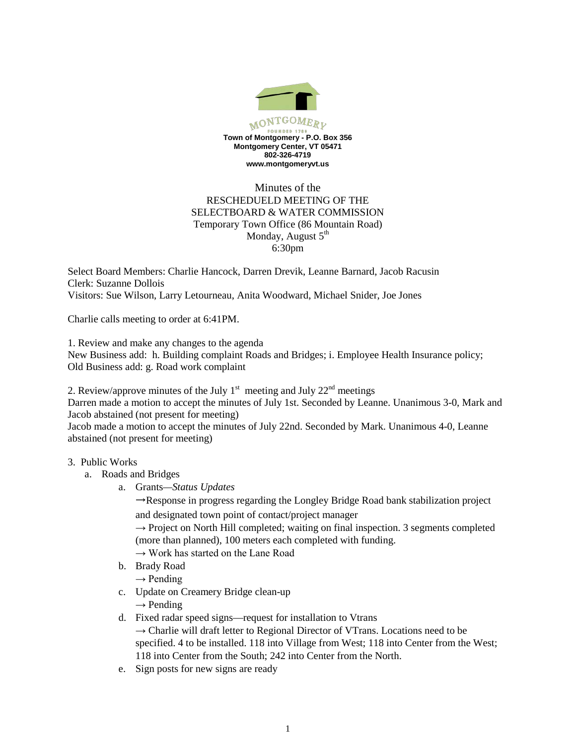

# Minutes of the RESCHEDUELD MEETING OF THE SELECTBOARD & WATER COMMISSION Temporary Town Office (86 Mountain Road) Monday, August  $5<sup>th</sup>$ 6:30pm

Select Board Members: Charlie Hancock, Darren Drevik, Leanne Barnard, Jacob Racusin Clerk: Suzanne Dollois Visitors: Sue Wilson, Larry Letourneau, Anita Woodward, Michael Snider, Joe Jones

Charlie calls meeting to order at 6:41PM.

1. Review and make any changes to the agenda

New Business add: h. Building complaint Roads and Bridges; i. Employee Health Insurance policy; Old Business add: g. Road work complaint

2. Review/approve minutes of the July  $1<sup>st</sup>$  meeting and July  $22<sup>nd</sup>$  meetings

Darren made a motion to accept the minutes of July 1st. Seconded by Leanne. Unanimous 3-0, Mark and Jacob abstained (not present for meeting)

Jacob made a motion to accept the minutes of July 22nd. Seconded by Mark. Unanimous 4-0, Leanne abstained (not present for meeting)

### 3. Public Works

- a. Roads and Bridges
	- a. Grants*—Status Updates*

 $\rightarrow$ Response in progress regarding the Longley Bridge Road bank stabilization project and designated town point of contact/project manager

 $\rightarrow$  Project on North Hill completed; waiting on final inspection. 3 segments completed (more than planned), 100 meters each completed with funding.

 $\rightarrow$  Work has started on the Lane Road

- b. Brady Road
	- $\rightarrow$  Pending
- c. Update on Creamery Bridge clean-up  $\rightarrow$  Pending
	-
- d. Fixed radar speed signs—request for installation to Vtrans  $\rightarrow$  Charlie will draft letter to Regional Director of VTrans. Locations need to be specified. 4 to be installed. 118 into Village from West; 118 into Center from the West; 118 into Center from the South; 242 into Center from the North.
- e. Sign posts for new signs are ready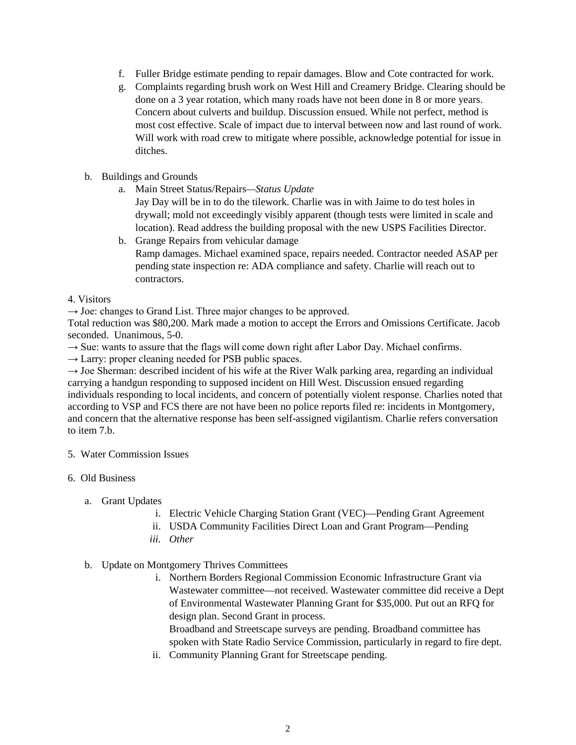- f. Fuller Bridge estimate pending to repair damages. Blow and Cote contracted for work.
- g. Complaints regarding brush work on West Hill and Creamery Bridge. Clearing should be done on a 3 year rotation, which many roads have not been done in 8 or more years. Concern about culverts and buildup. Discussion ensued. While not perfect, method is most cost effective. Scale of impact due to interval between now and last round of work. Will work with road crew to mitigate where possible, acknowledge potential for issue in ditches.
- b. Buildings and Grounds
	- a. Main Street Status/Repairs*—Status Update*

Jay Day will be in to do the tilework. Charlie was in with Jaime to do test holes in drywall; mold not exceedingly visibly apparent (though tests were limited in scale and location). Read address the building proposal with the new USPS Facilities Director.

- b. Grange Repairs from vehicular damage Ramp damages. Michael examined space, repairs needed. Contractor needed ASAP per pending state inspection re: ADA compliance and safety. Charlie will reach out to contractors.
- 4. Visitors

 $\rightarrow$  Joe: changes to Grand List. Three major changes to be approved.

Total reduction was \$80,200. Mark made a motion to accept the Errors and Omissions Certificate. Jacob seconded. Unanimous, 5-0.

 $\rightarrow$  Sue: wants to assure that the flags will come down right after Labor Day. Michael confirms.

 $\rightarrow$  Larry: proper cleaning needed for PSB public spaces.

 $\rightarrow$  Joe Sherman: described incident of his wife at the River Walk parking area, regarding an individual carrying a handgun responding to supposed incident on Hill West. Discussion ensued regarding individuals responding to local incidents, and concern of potentially violent response. Charlies noted that according to VSP and FCS there are not have been no police reports filed re: incidents in Montgomery, and concern that the alternative response has been self-assigned vigilantism. Charlie refers conversation to item 7.b.

### 5. Water Commission Issues

- 6. Old Business
	- a. Grant Updates
		- i. Electric Vehicle Charging Station Grant (VEC)—Pending Grant Agreement
		- ii. USDA Community Facilities Direct Loan and Grant Program—Pending
		- *iii. Other*

### b. Update on Montgomery Thrives Committees

i. Northern Borders Regional Commission Economic Infrastructure Grant via Wastewater committee—not received. Wastewater committee did receive a Dept of Environmental Wastewater Planning Grant for \$35,000. Put out an RFQ for design plan. Second Grant in process.

Broadband and Streetscape surveys are pending. Broadband committee has spoken with State Radio Service Commission, particularly in regard to fire dept.

ii. Community Planning Grant for Streetscape pending.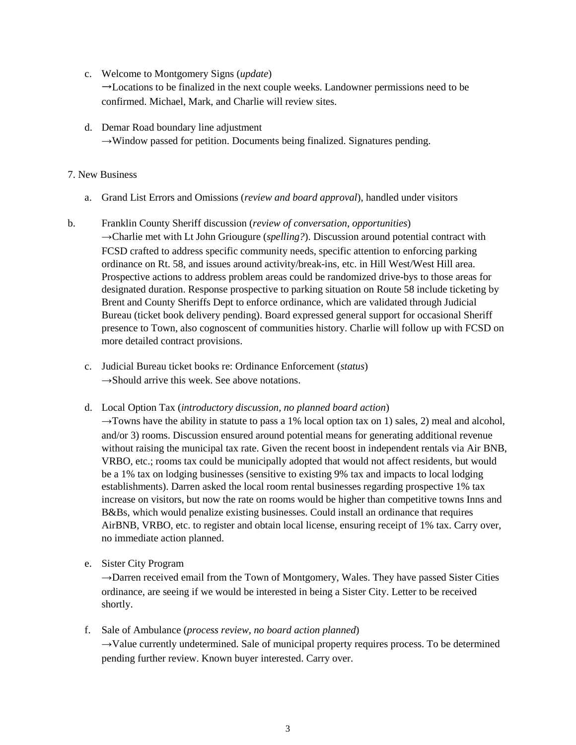c. Welcome to Montgomery Signs (*update*)

→Locations to be finalized in the next couple weeks. Landowner permissions need to be confirmed. Michael, Mark, and Charlie will review sites.

d. Demar Road boundary line adjustment  $\rightarrow$ Window passed for petition. Documents being finalized. Signatures pending.

## 7. New Business

- a. Grand List Errors and Omissions (*review and board approval*), handled under visitors
- b. Franklin County Sheriff discussion (*review of conversation*, *opportunities*) →Charlie met with Lt John Griougure (*spelling?*). Discussion around potential contract with FCSD crafted to address specific community needs, specific attention to enforcing parking ordinance on Rt. 58, and issues around activity/break-ins, etc. in Hill West/West Hill area. Prospective actions to address problem areas could be randomized drive-bys to those areas for designated duration. Response prospective to parking situation on Route 58 include ticketing by Brent and County Sheriffs Dept to enforce ordinance, which are validated through Judicial Bureau (ticket book delivery pending). Board expressed general support for occasional Sheriff presence to Town, also cognoscent of communities history. Charlie will follow up with FCSD on more detailed contract provisions.
	- c. Judicial Bureau ticket books re: Ordinance Enforcement (*status*)  $\rightarrow$ Should arrive this week. See above notations.
	- d. Local Option Tax (*introductory discussion, no planned board action*)

→Towns have the ability in statute to pass a 1% local option tax on 1) sales, 2) meal and alcohol, and/or 3) rooms. Discussion ensured around potential means for generating additional revenue without raising the municipal tax rate. Given the recent boost in independent rentals via Air BNB, VRBO, etc.; rooms tax could be municipally adopted that would not affect residents, but would be a 1% tax on lodging businesses (sensitive to existing 9% tax and impacts to local lodging establishments). Darren asked the local room rental businesses regarding prospective 1% tax increase on visitors, but now the rate on rooms would be higher than competitive towns Inns and B&Bs, which would penalize existing businesses. Could install an ordinance that requires AirBNB, VRBO, etc. to register and obtain local license, ensuring receipt of 1% tax. Carry over, no immediate action planned.

e. Sister City Program

 $\rightarrow$ Darren received email from the Town of Montgomery, Wales. They have passed Sister Cities ordinance, are seeing if we would be interested in being a Sister City. Letter to be received shortly.

f. Sale of Ambulance (*process review, no board action planned*)  $\rightarrow$ Value currently undetermined. Sale of municipal property requires process. To be determined pending further review. Known buyer interested. Carry over.